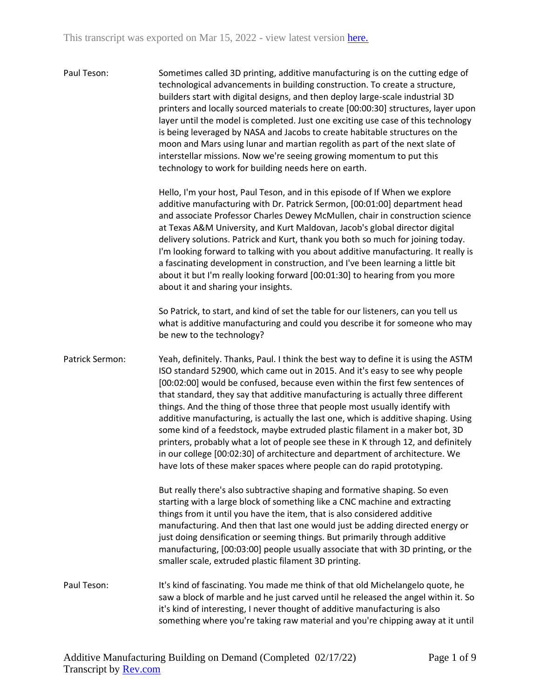Paul Teson: Sometimes called 3D printing, additive manufacturing is on the cutting edge of technological advancements in building construction. To create a structure, builders start with digital designs, and then deploy large-scale industrial 3D printers and locally sourced materials to create [00:00:30] structures, layer upon layer until the model is completed. Just one exciting use case of this technology is being leveraged by NASA and Jacobs to create habitable structures on the moon and Mars using lunar and martian regolith as part of the next slate of interstellar missions. Now we're seeing growing momentum to put this technology to work for building needs here on earth.

> Hello, I'm your host, Paul Teson, and in this episode of If When we explore additive manufacturing with Dr. Patrick Sermon, [00:01:00] department head and associate Professor Charles Dewey McMullen, chair in construction science at Texas A&M University, and Kurt Maldovan, Jacob's global director digital delivery solutions. Patrick and Kurt, thank you both so much for joining today. I'm looking forward to talking with you about additive manufacturing. It really is a fascinating development in construction, and I've been learning a little bit about it but I'm really looking forward [00:01:30] to hearing from you more about it and sharing your insights.

> So Patrick, to start, and kind of set the table for our listeners, can you tell us what is additive manufacturing and could you describe it for someone who may be new to the technology?

Patrick Sermon: Yeah, definitely. Thanks, Paul. I think the best way to define it is using the ASTM ISO standard 52900, which came out in 2015. And it's easy to see why people [00:02:00] would be confused, because even within the first few sentences of that standard, they say that additive manufacturing is actually three different things. And the thing of those three that people most usually identify with additive manufacturing, is actually the last one, which is additive shaping. Using some kind of a feedstock, maybe extruded plastic filament in a maker bot, 3D printers, probably what a lot of people see these in K through 12, and definitely in our college [00:02:30] of architecture and department of architecture. We have lots of these maker spaces where people can do rapid prototyping.

> But really there's also subtractive shaping and formative shaping. So even starting with a large block of something like a CNC machine and extracting things from it until you have the item, that is also considered additive manufacturing. And then that last one would just be adding directed energy or just doing densification or seeming things. But primarily through additive manufacturing, [00:03:00] people usually associate that with 3D printing, or the smaller scale, extruded plastic filament 3D printing.

Paul Teson: It's kind of fascinating. You made me think of that old Michelangelo quote, he saw a block of marble and he just carved until he released the angel within it. So it's kind of interesting, I never thought of additive manufacturing is also something where you're taking raw material and you're chipping away at it until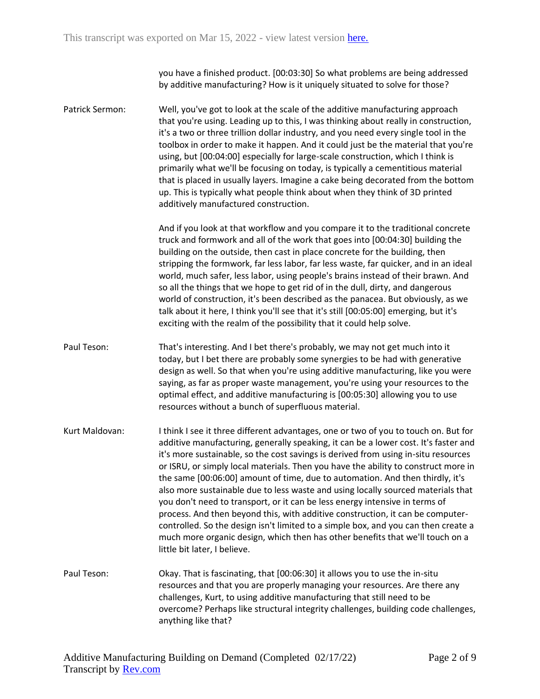you have a finished product. [00:03:30] So what problems are being addressed by additive manufacturing? How is it uniquely situated to solve for those?

Patrick Sermon: Well, you've got to look at the scale of the additive manufacturing approach that you're using. Leading up to this, I was thinking about really in construction, it's a two or three trillion dollar industry, and you need every single tool in the toolbox in order to make it happen. And it could just be the material that you're using, but [00:04:00] especially for large-scale construction, which I think is primarily what we'll be focusing on today, is typically a cementitious material that is placed in usually layers. Imagine a cake being decorated from the bottom up. This is typically what people think about when they think of 3D printed additively manufactured construction.

> And if you look at that workflow and you compare it to the traditional concrete truck and formwork and all of the work that goes into [00:04:30] building the building on the outside, then cast in place concrete for the building, then stripping the formwork, far less labor, far less waste, far quicker, and in an ideal world, much safer, less labor, using people's brains instead of their brawn. And so all the things that we hope to get rid of in the dull, dirty, and dangerous world of construction, it's been described as the panacea. But obviously, as we talk about it here, I think you'll see that it's still [00:05:00] emerging, but it's exciting with the realm of the possibility that it could help solve.

- Paul Teson: That's interesting. And I bet there's probably, we may not get much into it today, but I bet there are probably some synergies to be had with generative design as well. So that when you're using additive manufacturing, like you were saying, as far as proper waste management, you're using your resources to the optimal effect, and additive manufacturing is [00:05:30] allowing you to use resources without a bunch of superfluous material.
- Kurt Maldovan: I think I see it three different advantages, one or two of you to touch on. But for additive manufacturing, generally speaking, it can be a lower cost. It's faster and it's more sustainable, so the cost savings is derived from using in-situ resources or ISRU, or simply local materials. Then you have the ability to construct more in the same [00:06:00] amount of time, due to automation. And then thirdly, it's also more sustainable due to less waste and using locally sourced materials that you don't need to transport, or it can be less energy intensive in terms of process. And then beyond this, with additive construction, it can be computercontrolled. So the design isn't limited to a simple box, and you can then create a much more organic design, which then has other benefits that we'll touch on a little bit later, I believe.
- Paul Teson: Okay. That is fascinating, that [00:06:30] it allows you to use the in-situ resources and that you are properly managing your resources. Are there any challenges, Kurt, to using additive manufacturing that still need to be overcome? Perhaps like structural integrity challenges, building code challenges, anything like that?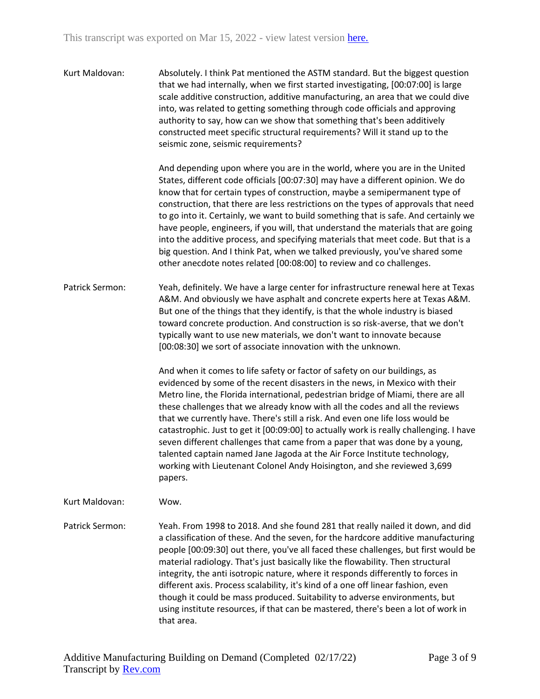Kurt Maldovan: Absolutely. I think Pat mentioned the ASTM standard. But the biggest question that we had internally, when we first started investigating, [00:07:00] is large scale additive construction, additive manufacturing, an area that we could dive into, was related to getting something through code officials and approving authority to say, how can we show that something that's been additively constructed meet specific structural requirements? Will it stand up to the seismic zone, seismic requirements?

> And depending upon where you are in the world, where you are in the United States, different code officials [00:07:30] may have a different opinion. We do know that for certain types of construction, maybe a semipermanent type of construction, that there are less restrictions on the types of approvals that need to go into it. Certainly, we want to build something that is safe. And certainly we have people, engineers, if you will, that understand the materials that are going into the additive process, and specifying materials that meet code. But that is a big question. And I think Pat, when we talked previously, you've shared some other anecdote notes related [00:08:00] to review and co challenges.

Patrick Sermon: Yeah, definitely. We have a large center for infrastructure renewal here at Texas A&M. And obviously we have asphalt and concrete experts here at Texas A&M. But one of the things that they identify, is that the whole industry is biased toward concrete production. And construction is so risk-averse, that we don't typically want to use new materials, we don't want to innovate because [00:08:30] we sort of associate innovation with the unknown.

> And when it comes to life safety or factor of safety on our buildings, as evidenced by some of the recent disasters in the news, in Mexico with their Metro line, the Florida international, pedestrian bridge of Miami, there are all these challenges that we already know with all the codes and all the reviews that we currently have. There's still a risk. And even one life loss would be catastrophic. Just to get it [00:09:00] to actually work is really challenging. I have seven different challenges that came from a paper that was done by a young, talented captain named Jane Jagoda at the Air Force Institute technology, working with Lieutenant Colonel Andy Hoisington, and she reviewed 3,699 papers.

Kurt Maldovan: Wow.

Patrick Sermon: Yeah. From 1998 to 2018. And she found 281 that really nailed it down, and did a classification of these. And the seven, for the hardcore additive manufacturing people [00:09:30] out there, you've all faced these challenges, but first would be material radiology. That's just basically like the flowability. Then structural integrity, the anti isotropic nature, where it responds differently to forces in different axis. Process scalability, it's kind of a one off linear fashion, even though it could be mass produced. Suitability to adverse environments, but using institute resources, if that can be mastered, there's been a lot of work in that area.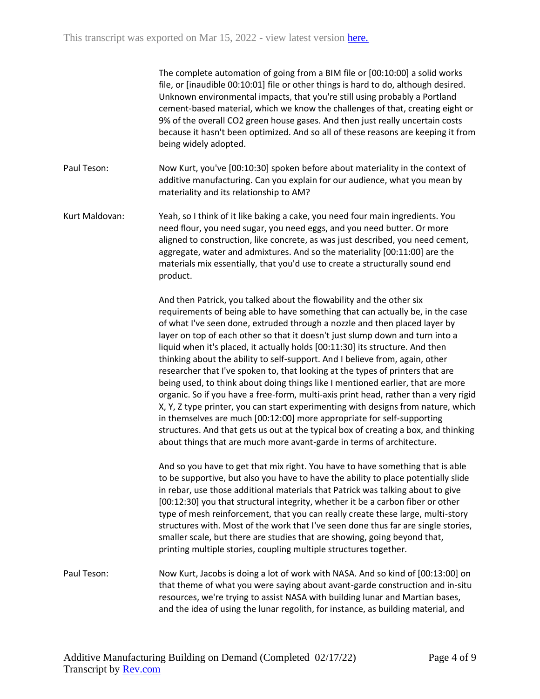The complete automation of going from a BIM file or [00:10:00] a solid works file, or [inaudible 00:10:01] file or other things is hard to do, although desired. Unknown environmental impacts, that you're still using probably a Portland cement-based material, which we know the challenges of that, creating eight or 9% of the overall CO2 green house gases. And then just really uncertain costs because it hasn't been optimized. And so all of these reasons are keeping it from being widely adopted.

Paul Teson: Now Kurt, you've [00:10:30] spoken before about materiality in the context of additive manufacturing. Can you explain for our audience, what you mean by materiality and its relationship to AM?

Kurt Maldovan: Yeah, so I think of it like baking a cake, you need four main ingredients. You need flour, you need sugar, you need eggs, and you need butter. Or more aligned to construction, like concrete, as was just described, you need cement, aggregate, water and admixtures. And so the materiality [00:11:00] are the materials mix essentially, that you'd use to create a structurally sound end product.

> And then Patrick, you talked about the flowability and the other six requirements of being able to have something that can actually be, in the case of what I've seen done, extruded through a nozzle and then placed layer by layer on top of each other so that it doesn't just slump down and turn into a liquid when it's placed, it actually holds [00:11:30] its structure. And then thinking about the ability to self-support. And I believe from, again, other researcher that I've spoken to, that looking at the types of printers that are being used, to think about doing things like I mentioned earlier, that are more organic. So if you have a free-form, multi-axis print head, rather than a very rigid X, Y, Z type printer, you can start experimenting with designs from nature, which in themselves are much [00:12:00] more appropriate for self-supporting structures. And that gets us out at the typical box of creating a box, and thinking about things that are much more avant-garde in terms of architecture.

And so you have to get that mix right. You have to have something that is able to be supportive, but also you have to have the ability to place potentially slide in rebar, use those additional materials that Patrick was talking about to give [00:12:30] you that structural integrity, whether it be a carbon fiber or other type of mesh reinforcement, that you can really create these large, multi-story structures with. Most of the work that I've seen done thus far are single stories, smaller scale, but there are studies that are showing, going beyond that, printing multiple stories, coupling multiple structures together.

Paul Teson: Now Kurt, Jacobs is doing a lot of work with NASA. And so kind of [00:13:00] on that theme of what you were saying about avant-garde construction and in-situ resources, we're trying to assist NASA with building lunar and Martian bases, and the idea of using the lunar regolith, for instance, as building material, and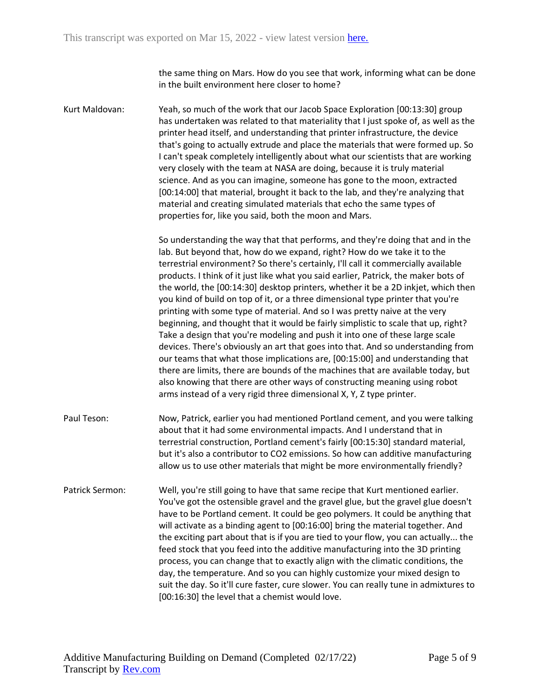the same thing on Mars. How do you see that work, informing what can be done in the built environment here closer to home?

Kurt Maldovan: Yeah, so much of the work that our Jacob Space Exploration [00:13:30] group has undertaken was related to that materiality that I just spoke of, as well as the printer head itself, and understanding that printer infrastructure, the device that's going to actually extrude and place the materials that were formed up. So I can't speak completely intelligently about what our scientists that are working very closely with the team at NASA are doing, because it is truly material science. And as you can imagine, someone has gone to the moon, extracted [00:14:00] that material, brought it back to the lab, and they're analyzing that material and creating simulated materials that echo the same types of properties for, like you said, both the moon and Mars.

> So understanding the way that that performs, and they're doing that and in the lab. But beyond that, how do we expand, right? How do we take it to the terrestrial environment? So there's certainly, I'll call it commercially available products. I think of it just like what you said earlier, Patrick, the maker bots of the world, the [00:14:30] desktop printers, whether it be a 2D inkjet, which then you kind of build on top of it, or a three dimensional type printer that you're printing with some type of material. And so I was pretty naive at the very beginning, and thought that it would be fairly simplistic to scale that up, right? Take a design that you're modeling and push it into one of these large scale devices. There's obviously an art that goes into that. And so understanding from our teams that what those implications are, [00:15:00] and understanding that there are limits, there are bounds of the machines that are available today, but also knowing that there are other ways of constructing meaning using robot arms instead of a very rigid three dimensional X, Y, Z type printer.

- Paul Teson: Now, Patrick, earlier you had mentioned Portland cement, and you were talking about that it had some environmental impacts. And I understand that in terrestrial construction, Portland cement's fairly [00:15:30] standard material, but it's also a contributor to CO2 emissions. So how can additive manufacturing allow us to use other materials that might be more environmentally friendly?
- Patrick Sermon: Well, you're still going to have that same recipe that Kurt mentioned earlier. You've got the ostensible gravel and the gravel glue, but the gravel glue doesn't have to be Portland cement. It could be geo polymers. It could be anything that will activate as a binding agent to [00:16:00] bring the material together. And the exciting part about that is if you are tied to your flow, you can actually... the feed stock that you feed into the additive manufacturing into the 3D printing process, you can change that to exactly align with the climatic conditions, the day, the temperature. And so you can highly customize your mixed design to suit the day. So it'll cure faster, cure slower. You can really tune in admixtures to [00:16:30] the level that a chemist would love.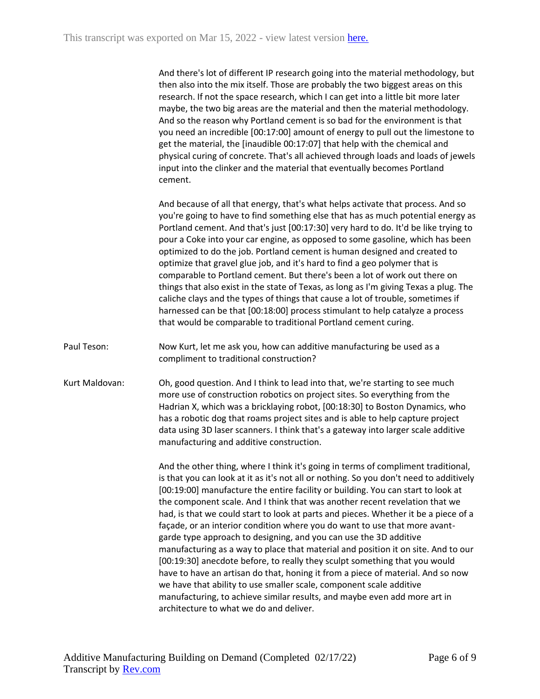And there's lot of different IP research going into the material methodology, but then also into the mix itself. Those are probably the two biggest areas on this research. If not the space research, which I can get into a little bit more later maybe, the two big areas are the material and then the material methodology. And so the reason why Portland cement is so bad for the environment is that you need an incredible [00:17:00] amount of energy to pull out the limestone to get the material, the [inaudible 00:17:07] that help with the chemical and physical curing of concrete. That's all achieved through loads and loads of jewels input into the clinker and the material that eventually becomes Portland cement.

And because of all that energy, that's what helps activate that process. And so you're going to have to find something else that has as much potential energy as Portland cement. And that's just [00:17:30] very hard to do. It'd be like trying to pour a Coke into your car engine, as opposed to some gasoline, which has been optimized to do the job. Portland cement is human designed and created to optimize that gravel glue job, and it's hard to find a geo polymer that is comparable to Portland cement. But there's been a lot of work out there on things that also exist in the state of Texas, as long as I'm giving Texas a plug. The caliche clays and the types of things that cause a lot of trouble, sometimes if harnessed can be that [00:18:00] process stimulant to help catalyze a process that would be comparable to traditional Portland cement curing.

- Paul Teson: Now Kurt, let me ask you, how can additive manufacturing be used as a compliment to traditional construction?
- Kurt Maldovan: Oh, good question. And I think to lead into that, we're starting to see much more use of construction robotics on project sites. So everything from the Hadrian X, which was a bricklaying robot, [00:18:30] to Boston Dynamics, who has a robotic dog that roams project sites and is able to help capture project data using 3D laser scanners. I think that's a gateway into larger scale additive manufacturing and additive construction.

And the other thing, where I think it's going in terms of compliment traditional, is that you can look at it as it's not all or nothing. So you don't need to additively [00:19:00] manufacture the entire facility or building. You can start to look at the component scale. And I think that was another recent revelation that we had, is that we could start to look at parts and pieces. Whether it be a piece of a façade, or an interior condition where you do want to use that more avantgarde type approach to designing, and you can use the 3D additive manufacturing as a way to place that material and position it on site. And to our [00:19:30] anecdote before, to really they sculpt something that you would have to have an artisan do that, honing it from a piece of material. And so now we have that ability to use smaller scale, component scale additive manufacturing, to achieve similar results, and maybe even add more art in architecture to what we do and deliver.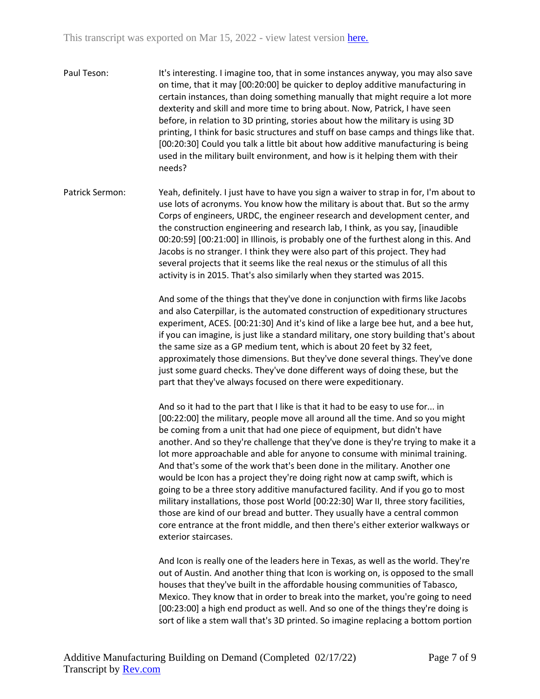- Paul Teson: It's interesting. I imagine too, that in some instances anyway, you may also save on time, that it may [00:20:00] be quicker to deploy additive manufacturing in certain instances, than doing something manually that might require a lot more dexterity and skill and more time to bring about. Now, Patrick, I have seen before, in relation to 3D printing, stories about how the military is using 3D printing, I think for basic structures and stuff on base camps and things like that. [00:20:30] Could you talk a little bit about how additive manufacturing is being used in the military built environment, and how is it helping them with their needs?
- Patrick Sermon: Yeah, definitely. I just have to have you sign a waiver to strap in for, I'm about to use lots of acronyms. You know how the military is about that. But so the army Corps of engineers, URDC, the engineer research and development center, and the construction engineering and research lab, I think, as you say, [inaudible 00:20:59] [00:21:00] in Illinois, is probably one of the furthest along in this. And Jacobs is no stranger. I think they were also part of this project. They had several projects that it seems like the real nexus or the stimulus of all this activity is in 2015. That's also similarly when they started was 2015.

And some of the things that they've done in conjunction with firms like Jacobs and also Caterpillar, is the automated construction of expeditionary structures experiment, ACES. [00:21:30] And it's kind of like a large bee hut, and a bee hut, if you can imagine, is just like a standard military, one story building that's about the same size as a GP medium tent, which is about 20 feet by 32 feet, approximately those dimensions. But they've done several things. They've done just some guard checks. They've done different ways of doing these, but the part that they've always focused on there were expeditionary.

And so it had to the part that I like is that it had to be easy to use for... in [00:22:00] the military, people move all around all the time. And so you might be coming from a unit that had one piece of equipment, but didn't have another. And so they're challenge that they've done is they're trying to make it a lot more approachable and able for anyone to consume with minimal training. And that's some of the work that's been done in the military. Another one would be Icon has a project they're doing right now at camp swift, which is going to be a three story additive manufactured facility. And if you go to most military installations, those post World [00:22:30] War II, three story facilities, those are kind of our bread and butter. They usually have a central common core entrance at the front middle, and then there's either exterior walkways or exterior staircases.

And Icon is really one of the leaders here in Texas, as well as the world. They're out of Austin. And another thing that Icon is working on, is opposed to the small houses that they've built in the affordable housing communities of Tabasco, Mexico. They know that in order to break into the market, you're going to need [00:23:00] a high end product as well. And so one of the things they're doing is sort of like a stem wall that's 3D printed. So imagine replacing a bottom portion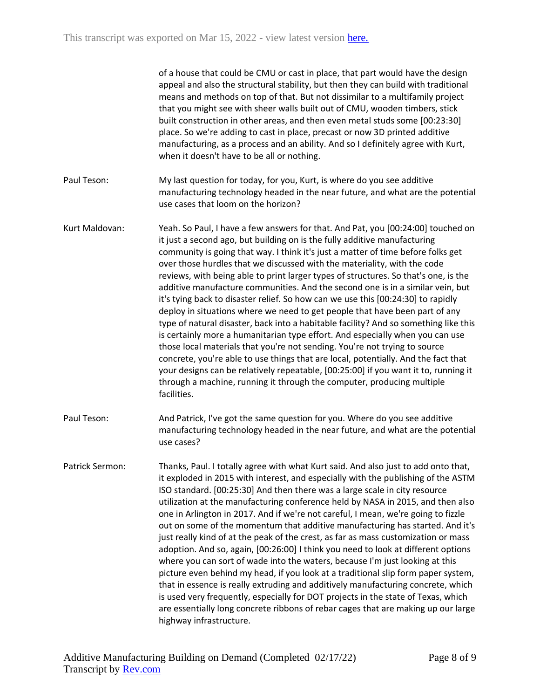|                 | of a house that could be CMU or cast in place, that part would have the design<br>appeal and also the structural stability, but then they can build with traditional<br>means and methods on top of that. But not dissimilar to a multifamily project<br>that you might see with sheer walls built out of CMU, wooden timbers, stick<br>built construction in other areas, and then even metal studs some [00:23:30]<br>place. So we're adding to cast in place, precast or now 3D printed additive<br>manufacturing, as a process and an ability. And so I definitely agree with Kurt,<br>when it doesn't have to be all or nothing.                                                                                                                                                                                                                                                                                                                                                                                                                                                                                                                                                                  |
|-----------------|--------------------------------------------------------------------------------------------------------------------------------------------------------------------------------------------------------------------------------------------------------------------------------------------------------------------------------------------------------------------------------------------------------------------------------------------------------------------------------------------------------------------------------------------------------------------------------------------------------------------------------------------------------------------------------------------------------------------------------------------------------------------------------------------------------------------------------------------------------------------------------------------------------------------------------------------------------------------------------------------------------------------------------------------------------------------------------------------------------------------------------------------------------------------------------------------------------|
| Paul Teson:     | My last question for today, for you, Kurt, is where do you see additive<br>manufacturing technology headed in the near future, and what are the potential<br>use cases that loom on the horizon?                                                                                                                                                                                                                                                                                                                                                                                                                                                                                                                                                                                                                                                                                                                                                                                                                                                                                                                                                                                                       |
| Kurt Maldovan:  | Yeah. So Paul, I have a few answers for that. And Pat, you [00:24:00] touched on<br>it just a second ago, but building on is the fully additive manufacturing<br>community is going that way. I think it's just a matter of time before folks get<br>over those hurdles that we discussed with the materiality, with the code<br>reviews, with being able to print larger types of structures. So that's one, is the<br>additive manufacture communities. And the second one is in a similar vein, but<br>it's tying back to disaster relief. So how can we use this [00:24:30] to rapidly<br>deploy in situations where we need to get people that have been part of any<br>type of natural disaster, back into a habitable facility? And so something like this<br>is certainly more a humanitarian type effort. And especially when you can use<br>those local materials that you're not sending. You're not trying to source<br>concrete, you're able to use things that are local, potentially. And the fact that<br>your designs can be relatively repeatable, [00:25:00] if you want it to, running it<br>through a machine, running it through the computer, producing multiple<br>facilities. |
| Paul Teson:     | And Patrick, I've got the same question for you. Where do you see additive<br>manufacturing technology headed in the near future, and what are the potential<br>use cases?                                                                                                                                                                                                                                                                                                                                                                                                                                                                                                                                                                                                                                                                                                                                                                                                                                                                                                                                                                                                                             |
| Patrick Sermon: | Thanks, Paul. I totally agree with what Kurt said. And also just to add onto that,<br>it exploded in 2015 with interest, and especially with the publishing of the ASTM<br>ISO standard. [00:25:30] And then there was a large scale in city resource<br>utilization at the manufacturing conference held by NASA in 2015, and then also<br>one in Arlington in 2017. And if we're not careful, I mean, we're going to fizzle<br>out on some of the momentum that additive manufacturing has started. And it's<br>just really kind of at the peak of the crest, as far as mass customization or mass<br>adoption. And so, again, [00:26:00] I think you need to look at different options<br>where you can sort of wade into the waters, because I'm just looking at this<br>picture even behind my head, if you look at a traditional slip form paper system,<br>that in essence is really extruding and additively manufacturing concrete, which<br>is used very frequently, especially for DOT projects in the state of Texas, which<br>are essentially long concrete ribbons of rebar cages that are making up our large<br>highway infrastructure.                                                |